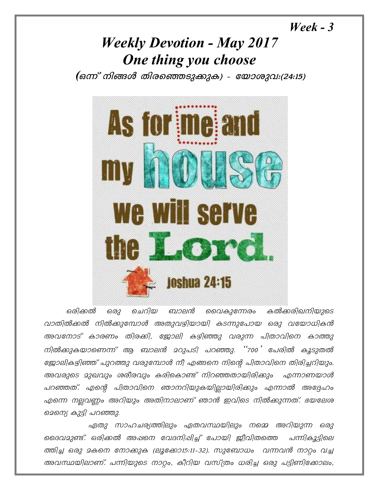$\textit{Weak} - 3$ 

## **Weekly Devotion - May 2017** One thing you choose

(ഒന്ന് നിങ്ങൾ തിരഞ്ഞെടുക്കുക) - യോശുവം(24:15)



ഒരിക്കൽ ചെറിയ ബാലൻ വൈകുന്നേരം കൽക്കരിഖനിയുടെ ഒരു വാതിൽക്കൽ നിൽക്കുമ്പോൾ അതുവഴിയായി കടന്നുപോയ ഒരു വയോധികൻ അവനോട് കാരണം തിരക്കി, ജോലി കഴിഞ്ഞു വരുന്ന പിതാവിനെ കാത്തു നിൽക്കുകയാണെന്ന് ആ ബാലൻ മറുപടി പറഞ്ഞു. ''700' പേരിൽ കൂടുതൽ ജോലികഴിഞ്ഞ് പുറത്തു വരുമ്പോൾ നീ എങ്ങനെ നിന്റെ പിതാവിനെ തിരിച്ചറിയും. അവരുടെ മുഖവും ശരീരവും കരികൊണ്ട് നിറഞ്ഞതായിരിക്കും എന്നാണയാൾ പറഞ്ഞത്. എന്റെ പിതാവിനെ ഞാനറിയുകയില്ലായിരിക്കും എന്നാൽ അദ്ദേഹം എന്നെ നല്ലവണ്ണം അറിയും അതിനാലാണ് ഞാൻ ഇവിടെ നിൽക്കുന്നത്. ഭയലേശ മെന്നെ കുട്ടി പറഞ്ഞു.

ഏതു സാഹചര്യത്തിലും ഏതവസ്ഥയിലും നമ്മെ അറിയുന്ന ഒരു ദൈവമുണ്ട്. ഒരിക്കൽ അഷനെ വേദനിഷിച്ച് പോയി ഇീവിതത്തെ പന്നികൂടിലെ ത്തിച്ച ഒരു മകനെ നോക്കുക (ലൂക്കോ15:11-32). സുബോധം വന്നവൻ നാറ്റം വച്ച അവസ്ഥയിലാണ്. പന്നിയുടെ നാറ്റം, കീറിയ വസ്ത്രം ധരിച്ച ഒരു പട്ടിണിക്കോലം,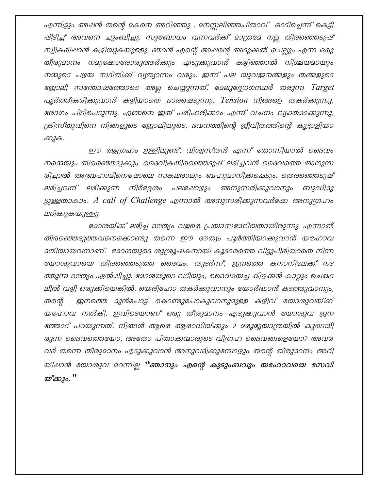എന്നിട്ടും അഷൻ തന്റെ മകനെ അറിഞ്ഞു . മനസ്സലിഞ്ഞപിതാവ് ഓടിച്ചെന്ന് കെട്ടി ഷിടിച്ച് അവനെ ചുംബിച്ചു. സുബോധം വന്നവർക്ക് മാത്രമേ നല്ല തിരഞ്ഞെടുഷ് സ്വീകരിഷാൻ കഴിയുകയുള്ളു. ഞാൻ എന്റെ അഷന്റെ അടുക്കൽ ചെല്ലും എന്ന ഒരു തീരുമാനം നമുക്കോരോരുത്തർക്കും എടുക്കുവാൻ കഴിഞ്ഞാൽ നിശ്ചയമായും നമ്മുടെ പഴയ സ്ഥിതിക്ക് വ്യത്യാസം വരും. ഇന്ന് പല യുവജനങ്ങളും തങ്ങളുടെ പൂർത്തീകരിക്കുവാൻ കഴിയാതെ ഭാരപ്പെടുന്നു. Tension നിങ്ങളെ തകർക്കുന്നു, രോഗം പിടിപെടുന്നു. എങ്ങനെ ഇത് പരിഹരിക്കാം എന്ന് വചനം വ്യക്തമാക്കുന്നു, ക്രിസ്തുവിനെ നിങ്ങളുടെ ജോലിയുടെ, ഭവനത്തിന്റെ ജീവിതത്തിന്റെ കൂട്ടാളിയാ ക്കുക.

ഈ ആഗ്രഹം ഉള്ളിലുണ്ട്, വിശ്വസ്തൻ എന്ന് തോന്നിയാൽ ദൈവം നമ്മെയും തിരഞ്ഞെടുക്കും. ദൈവീകതിരഞ്ഞെടുപ്പ് ലഭിച്ചവൻ ദൈവത്തെ അനുസ രിച്ചാൽ അബ്രഹാമിനെഷോലെ സകലരാലും ബഹുമാനിക്കപ്പെടും. തെരഞ്ഞെടുഷ് ലഭിച്ചവന് ലഭിക്കുന്ന നിർദ്ദേശം പലഷോഴും അനുസരിക്കുവാനും ബുദ്ധിമു ട്ടുള്ളതാകാം. A call of Challenge എന്നാൽ അനുസരിക്കുന്നവർക്കേ അനുഗ്രഹം ലഭിക്കുകയുള്ളു.

ദോശയ്ക്ക് ലഭിച്ച ദൗത്യം വളരെ പ്രയാസദേറിയതായിരുന്നു. എന്നാൽ തിരഞ്ഞെടുത്തവനെക്കൊണ്ടു തന്നെ ഈ ദൗത്യം പൂർത്തിയാക്കുവാൻ യഹോവ മതിയായവനാണ്. മോശയുടെ ശുശ്രൂഷകനായി കൂടാരത്തെ വിട്ടുപിരിയാതെ നിന്ന യോശുവായെ തിരഞ്ഞെടുത്ത ദൈവം, തുടർന്ന്, ജനത്തെ കനാനിലേക്ക് നട ത്തുന്ന ദൗത്യം ഏൽഷിച്ചു. മോശയുടെ വടിയും, ദൈവമയച്ച കിഴക്കൻ കാറ്റും ചെങ്കട ലിൽ വഴി ഒരുക്കിയെങ്കിൽ, യെരിഹോ തകർക്കുവാനും യോർദ്ധാൻ കടത്തുവാനും, ഇനത്തെ മുൻപോട്ട് കൊണ്ടുപോകുവാനുമുള്ള കഴിവ് യോശുവയ്ക്ക് തന്റെ യഹോവ നൽകി, ഇവിടെയാണ് ഒരു തീരുമാനം എടുക്കുവാൻ യോശുവ ജന ത്തോട് പറയുന്നത്. നിങ്ങൾ ആരെ ആരാധിയ്ക്കും ? മരുഭൂയാത്രയിൽ കൂടെയി രുന്ന ദൈവത്തെയോ, അതോ പിതാക്കന്മാരുടെ വിഗ്രഹ ദൈവങ്ങളെയോ? അവര വർ തന്നെ തീരുമാനം എടുക്കുവാൻ അനുവദിക്കുമ്പോഴും തന്റെ തീരുമാനം അറി യിഷാൻ യോശുവ മറന്നില്ല "ഞാനും എന്റെ കുടുംബവും യഹോവയെ സേവി യ്ക്കും. "